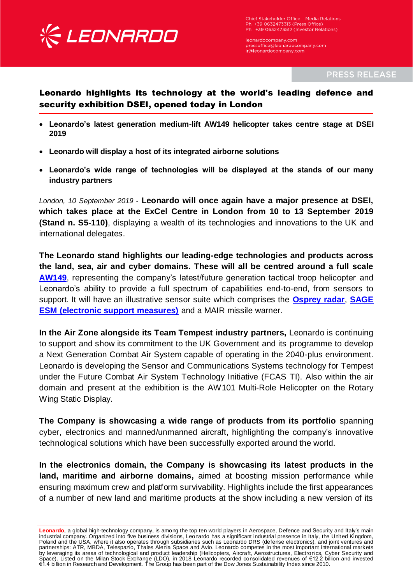

Chief Stakeholder Office - Media Relations Ph. +39 0632473313 (Press Office) Ph. +39 0632473512 (Investor Relations)

leonardocompany.com<br>pressoffice@leonardocompany.com ir@leonardocompany.com

**PRESS RELEASE** 

## Leonardo highlights its technology at the world's leading defence and security exhibition DSEI, opened today in London

- **Leonardo's latest generation medium-lift AW149 helicopter takes centre stage at DSEI 2019**
- **Leonardo will display a host of its integrated airborne solutions**
- **Leonardo's wide range of technologies will be displayed at the stands of our many industry partners**

*London, 10 September 2019* - **Leonardo will once again have a major presence at DSEI, which takes place at the ExCel Centre in London from 10 to 13 September 2019 (Stand n. S5-110)**, displaying a wealth of its technologies and innovations to the UK and international delegates.

**The Leonardo stand highlights our leading-edge technologies and products across the land, sea, air and cyber domains. These will all be centred around a full scale [AW149](https://www.leonardocompany.com/en/products/aw149)**, representing the company's latest/future generation tactical troop helicopter and Leonardo's ability to provide a full spectrum of capabilities end-to-end, from sensors to support. It will have an illustrative sensor suite which comprises the **[Osprey radar](https://www.leonardocompany.com/en/products/osprey)**, **[SAGE](https://www.leonardocompany.com/en/products/sage-1)  [ESM \(electronic support measures\)](https://www.leonardocompany.com/en/products/sage-1)** and a MAIR missile warner.

**In the Air Zone alongside its Team Tempest industry partners,** Leonardo is continuing to support and show its commitment to the UK Government and its programme to develop a Next Generation Combat Air System capable of operating in the 2040-plus environment. Leonardo is developing the Sensor and Communications Systems technology for Tempest under the Future Combat Air System Technology Initiative (FCAS TI). Also within the air domain and present at the exhibition is the AW101 Multi-Role Helicopter on the Rotary Wing Static Display.

**The Company is showcasing a wide range of products from its portfolio** spanning cyber, electronics and manned/unmanned aircraft, highlighting the company's innovative technological solutions which have been successfully exported around the world.

**In the electronics domain, the Company is showcasing its latest products in the land, maritime and airborne domains,** aimed at boosting mission performance while ensuring maximum crew and platform survivability. Highlights include the first appearances of a number of new land and maritime products at the show including a new version of its

**Leonardo**, a global high-technology company, is among the top ten world players in Aerospace, Defence and Security and Italy's main<br>industrial company. Organized into five business divisions, Leonardo has a significant in Poland and the USA, where it also operates through subsidiaries such as Leonardo DRS (defense electronics), and joint ventures and partnerships: ATR, MBDA, Telespazio, Thales Alenia Space and Avio. Leonardo competes in the most important international markets<br>by leveraging its areas of technological and product leadership (Helicopters, Aircraft, Aero €1.4 billion in Research and Development. The Group has been part of the Dow Jones Sustainability Index since 2010.